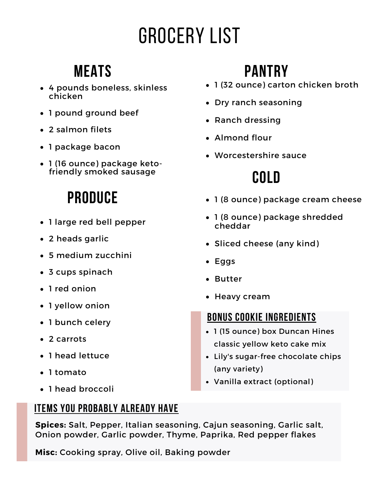# Grocery List

### **Meats**

- 4 pounds boneless, skinless chicken
- 1 pound ground beef
- 2 salmon filets
- 1 package bacon
- 1 (16 ounce) package ketofriendly smoked sausage

### **Produce**

- 1 large red bell pepper
- 2 heads garlic
- 5 medium zucchini
- 3 cups spinach
- 1 red onion
- 1 yellow onion
- 1 bunch celery
- 2 carrots
- 1 head lettuce
- 1 tomato
- 1 head broccoli

### **Items you probably already have**

**Spices:** Salt, Pepper, Italian seasoning, Cajun seasoning, Garlic salt, Onion powder, Garlic powder, Thyme, Paprika, Red pepper flakes

**Misc:** Cooking spray, Olive oil, Baking powder

## **Pantry**

- 1 (32 ounce) carton chicken broth
- Dry ranch seasoning
- Ranch dressing
- Almond flour
- Worcestershire sauce

## **Cold**

- 1 (8 ounce) package cream cheese
- 1 (8 ounce) package shredded cheddar
- Sliced cheese (any kind)
- Eggs
- Butter
- Heavy cream

### **Bonus cookie ingredients**

- 1 (15 ounce) box Duncan Hines classic yellow keto cake mix
- Lily's sugar-free chocolate chips (any variety)
- Vanilla extract (optional)